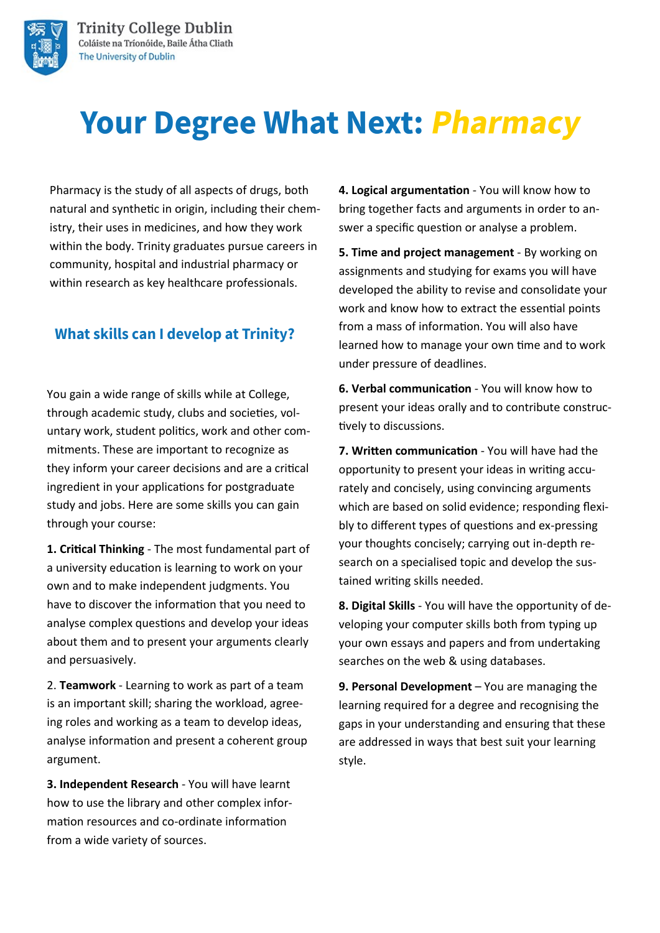

# **Your Degree What Next: Pharmacy**

Pharmacy is the study of all aspects of drugs, both natural and synthetic in origin, including their chemistry, their uses in medicines, and how they work within the body. Trinity graduates pursue careers in community, hospital and industrial pharmacy or within research as key healthcare professionals.

## **What skills can I develop at Trinity?**

You gain a wide range of skills while at College, through academic study, clubs and societies, voluntary work, student politics, work and other commitments. These are important to recognize as they inform your career decisions and are a critical ingredient in your applications for postgraduate study and jobs. Here are some skills you can gain through your course:

**1. Critical Thinking** - The most fundamental part of a university education is learning to work on your own and to make independent judgments. You have to discover the information that you need to analyse complex questions and develop your ideas about them and to present your arguments clearly and persuasively.

2. **Teamwork** - Learning to work as part of a team is an important skill; sharing the workload, agreeing roles and working as a team to develop ideas, analyse information and present a coherent group argument.

**3. Independent Research** - You will have learnt how to use the library and other complex information resources and co-ordinate information from a wide variety of sources.

**4. Logical argumentation** - You will know how to bring together facts and arguments in order to answer a specific question or analyse a problem.

**5. Time and project management** - By working on assignments and studying for exams you will have developed the ability to revise and consolidate your work and know how to extract the essential points from a mass of information. You will also have learned how to manage your own time and to work under pressure of deadlines.

**6. Verbal communication** - You will know how to present your ideas orally and to contribute constructively to discussions.

**7. Written communication** - You will have had the opportunity to present your ideas in writing accurately and concisely, using convincing arguments which are based on solid evidence; responding flexibly to different types of questions and ex-pressing your thoughts concisely; carrying out in-depth research on a specialised topic and develop the sustained writing skills needed.

**8. Digital Skills** - You will have the opportunity of developing your computer skills both from typing up your own essays and papers and from undertaking searches on the web & using databases.

**9. Personal Development** – You are managing the learning required for a degree and recognising the gaps in your understanding and ensuring that these are addressed in ways that best suit your learning style.